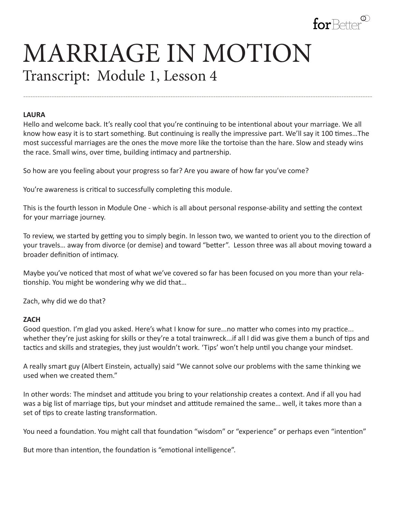

# MARRIAGE IN MOTION Transcript: Module 1, Lesson 4

#### **LAURA**

Hello and welcome back. It's really cool that you're continuing to be intentional about your marriage. We all know how easy it is to start something. But continuing is really the impressive part. We'll say it 100 times…The most successful marriages are the ones the move more like the tortoise than the hare. Slow and steady wins the race. Small wins, over time, building intimacy and partnership.

---------------------------------------------------------------------------------------------------------------------------------------------------

So how are you feeling about your progress so far? Are you aware of how far you've come?

You're awareness is critical to successfully completing this module.

This is the fourth lesson in Module One - which is all about personal response-ability and setting the context for your marriage journey.

To review, we started by getting you to simply begin. In lesson two, we wanted to orient you to the direction of your travels… away from divorce (or demise) and toward "better". Lesson three was all about moving toward a broader definition of intimacy.

Maybe you've noticed that most of what we've covered so far has been focused on you more than your relationship. You might be wondering why we did that…

Zach, why did we do that?

#### **ZACH**

Good question. I'm glad you asked. Here's what I know for sure...no matter who comes into my practice... whether they're just asking for skills or they're a total trainwreck...if all I did was give them a bunch of tips and tactics and skills and strategies, they just wouldn't work. 'Tips' won't help until you change your mindset.

A really smart guy (Albert Einstein, actually) said "We cannot solve our problems with the same thinking we used when we created them."

In other words: The mindset and attitude you bring to your relationship creates a context. And if all you had was a big list of marriage tips, but your mindset and attitude remained the same… well, it takes more than a set of tips to create lasting transformation.

You need a foundation. You might call that foundation "wisdom" or "experience" or perhaps even "intention"

But more than intention, the foundation is "emotional intelligence".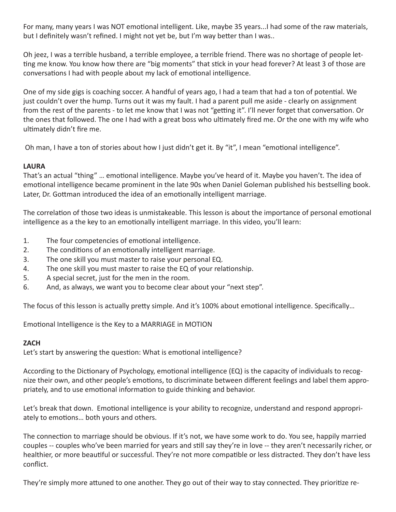For many, many years I was NOT emotional intelligent. Like, maybe 35 years...I had some of the raw materials, but I definitely wasn't refined. I might not yet be, but I'm way better than I was..

Oh jeez, I was a terrible husband, a terrible employee, a terrible friend. There was no shortage of people letting me know. You know how there are "big moments" that stick in your head forever? At least 3 of those are conversations I had with people about my lack of emotional intelligence.

One of my side gigs is coaching soccer. A handful of years ago, I had a team that had a ton of potential. We just couldn't over the hump. Turns out it was my fault. I had a parent pull me aside - clearly on assignment from the rest of the parents - to let me know that I was not "getting it". I'll never forget that conversation. Or the ones that followed. The one I had with a great boss who ultimately fired me. Or the one with my wife who ultimately didn't fire me.

Oh man, I have a ton of stories about how I just didn't get it. By "it", I mean "emotional intelligence".

# **LAURA**

That's an actual "thing" … emotional intelligence. Maybe you've heard of it. Maybe you haven't. The idea of emotional intelligence became prominent in the late 90s when Daniel Goleman published his bestselling book. Later, Dr. Gottman introduced the idea of an emotionally intelligent marriage.

The correlation of those two ideas is unmistakeable. This lesson is about the importance of personal emotional intelligence as a the key to an emotionally intelligent marriage. In this video, you'll learn:

- 1. The four competencies of emotional intelligence.
- 2. The conditions of an emotionally intelligent marriage.
- 3. The one skill you must master to raise your personal EQ.
- 4. The one skill you must master to raise the EQ of your relationship.
- 5. A special secret, just for the men in the room.
- 6. And, as always, we want you to become clear about your "next step".

The focus of this lesson is actually pretty simple. And it's 100% about emotional intelligence. Specifically…

Emotional Intelligence is the Key to a MARRIAGE in MOTION

# **ZACH**

Let's start by answering the question: What is emotional intelligence?

According to the Dictionary of Psychology, emotional intelligence (EQ) is the capacity of individuals to recognize their own, and other people's emotions, to discriminate between different feelings and label them appropriately, and to use emotional information to guide thinking and behavior.

Let's break that down. Emotional intelligence is your ability to recognize, understand and respond appropriately to emotions… both yours and others.

The connection to marriage should be obvious. If it's not, we have some work to do. You see, happily married couples -- couples who've been married for years and still say they're in love -- they aren't necessarily richer, or healthier, or more beautiful or successful. They're not more compatible or less distracted. They don't have less conflict.

They're simply more attuned to one another. They go out of their way to stay connected. They prioritize re-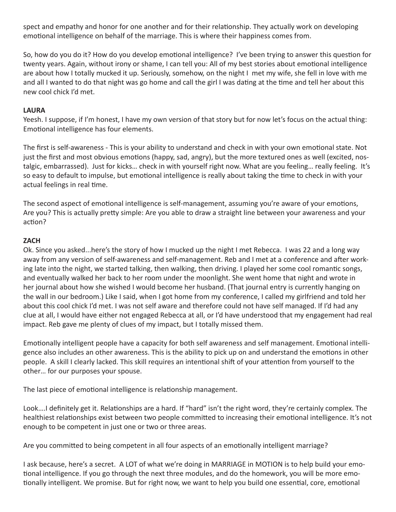spect and empathy and honor for one another and for their relationship. They actually work on developing emotional intelligence on behalf of the marriage. This is where their happiness comes from.

So, how do you do it? How do you develop emotional intelligence? I've been trying to answer this question for twenty years. Again, without irony or shame, I can tell you: All of my best stories about emotional intelligence are about how I totally mucked it up. Seriously, somehow, on the night I met my wife, she fell in love with me and all I wanted to do that night was go home and call the girl I was dating at the time and tell her about this new cool chick I'd met.

## **LAURA**

Yeesh. I suppose, if I'm honest, I have my own version of that story but for now let's focus on the actual thing: Emotional intelligence has four elements.

The first is self-awareness - This is your ability to understand and check in with your own emotional state. Not just the first and most obvious emotions (happy, sad, angry), but the more textured ones as well (excited, nostalgic, embarrassed). Just for kicks… check in with yourself right now. What are you feeling… really feeling. It's so easy to default to impulse, but emotional intelligence is really about taking the time to check in with your actual feelings in real time.

The second aspect of emotional intelligence is self-management, assuming you're aware of your emotions, Are you? This is actually pretty simple: Are you able to draw a straight line between your awareness and your action?

### **ZACH**

Ok. Since you asked...here's the story of how I mucked up the night I met Rebecca. I was 22 and a long way away from any version of self-awareness and self-management. Reb and I met at a conference and after working late into the night, we started talking, then walking, then driving. I played her some cool romantic songs, and eventually walked her back to her room under the moonlight. She went home that night and wrote in her journal about how she wished I would become her husband. (That journal entry is currently hanging on the wall in our bedroom.) Like I said, when I got home from my conference, I called my girlfriend and told her about this cool chick I'd met. I was not self aware and therefore could not have self managed. If I'd had any clue at all, I would have either not engaged Rebecca at all, or I'd have understood that my engagement had real impact. Reb gave me plenty of clues of my impact, but I totally missed them.

Emotionally intelligent people have a capacity for both self awareness and self management. Emotional intelligence also includes an other awareness. This is the ability to pick up on and understand the emotions in other people. A skill I clearly lacked. This skill requires an intentional shift of your attention from yourself to the other… for our purposes your spouse.

The last piece of emotional intelligence is relationship management.

Look….I definitely get it. Relationships are a hard. If "hard" isn't the right word, they're certainly complex. The healthiest relationships exist between two people committed to increasing their emotional intelligence. It's not enough to be competent in just one or two or three areas.

Are you committed to being competent in all four aspects of an emotionally intelligent marriage?

I ask because, here's a secret. A LOT of what we're doing in MARRIAGE in MOTION is to help build your emotional intelligence. If you go through the next three modules, and do the homework, you will be more emotionally intelligent. We promise. But for right now, we want to help you build one essential, core, emotional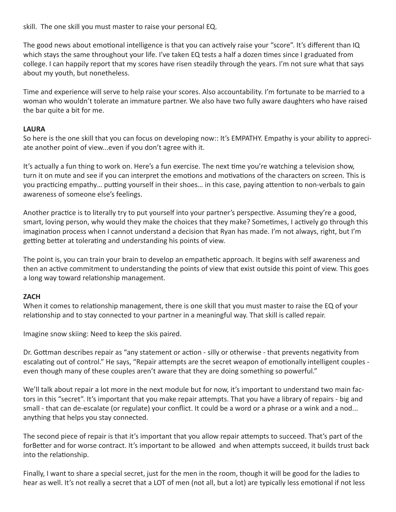skill. The one skill you must master to raise your personal EQ.

The good news about emotional intelligence is that you can actively raise your "score". It's different than IQ which stays the same throughout your life. I've taken EQ tests a half a dozen times since I graduated from college. I can happily report that my scores have risen steadily through the years. I'm not sure what that says about my youth, but nonetheless.

Time and experience will serve to help raise your scores. Also accountability. I'm fortunate to be married to a woman who wouldn't tolerate an immature partner. We also have two fully aware daughters who have raised the bar quite a bit for me.

### **LAURA**

So here is the one skill that you can focus on developing now:: It's EMPATHY. Empathy is your ability to appreciate another point of view...even if you don't agree with it.

It's actually a fun thing to work on. Here's a fun exercise. The next time you're watching a television show, turn it on mute and see if you can interpret the emotions and motivations of the characters on screen. This is you practicing empathy… putting yourself in their shoes… in this case, paying attention to non-verbals to gain awareness of someone else's feelings.

Another practice is to literally try to put yourself into your partner's perspective. Assuming they're a good, smart, loving person, why would they make the choices that they make? Sometimes, I actively go through this imagination process when I cannot understand a decision that Ryan has made. I'm not always, right, but I'm getting better at tolerating and understanding his points of view.

The point is, you can train your brain to develop an empathetic approach. It begins with self awareness and then an active commitment to understanding the points of view that exist outside this point of view. This goes a long way toward relationship management.

# **ZACH**

When it comes to relationship management, there is one skill that you must master to raise the EQ of your relationship and to stay connected to your partner in a meaningful way. That skill is called repair.

Imagine snow skiing: Need to keep the skis paired.

Dr. Gottman describes repair as "any statement or action - silly or otherwise - that prevents negativity from escalating out of control." He says, "Repair attempts are the secret weapon of emotionally intelligent couples even though many of these couples aren't aware that they are doing something so powerful."

We'll talk about repair a lot more in the next module but for now, it's important to understand two main factors in this "secret". It's important that you make repair attempts. That you have a library of repairs - big and small - that can de-escalate (or regulate) your conflict. It could be a word or a phrase or a wink and a nod... anything that helps you stay connected.

The second piece of repair is that it's important that you allow repair attempts to succeed. That's part of the forBetter and for worse contract. It's important to be allowed and when attempts succeed, it builds trust back into the relationship.

Finally, I want to share a special secret, just for the men in the room, though it will be good for the ladies to hear as well. It's not really a secret that a LOT of men (not all, but a lot) are typically less emotional if not less